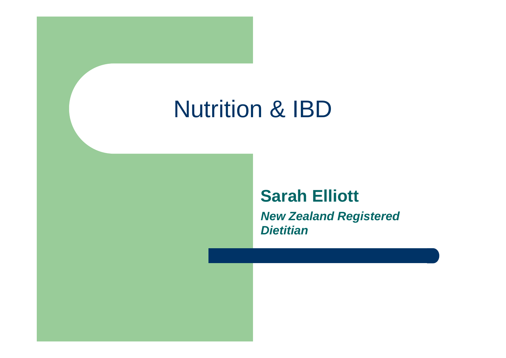# Nutrition & IBD

#### **Sarah Elliott**

**New Zealand Registered Dietitian**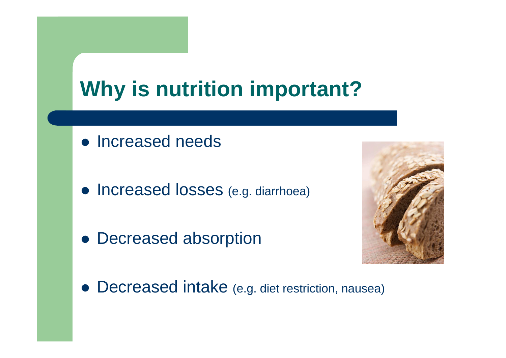# **Why is nutrition important?**

- Increased needs
- **Increased losses** (e.g. diarrhoea)
- Decreased absorption



**• Decreased intake** (e.g. diet restriction, nausea)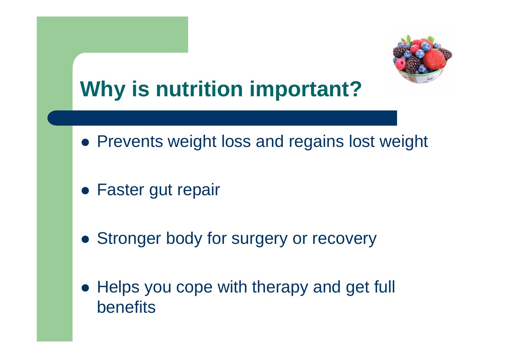

#### **Why is nutrition important?**

- **Prevents weight loss and regains lost weight**
- Faster gut repair
- **Stronger body for surgery or recovery**
- Helps you cope with therapy and get full benefits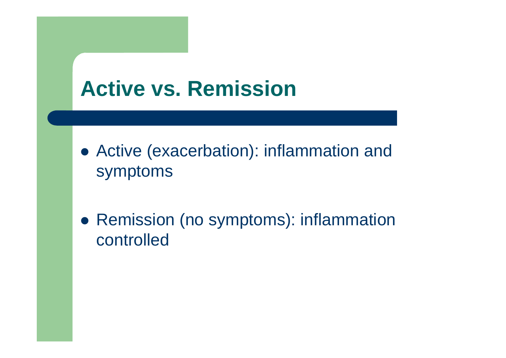# **Active vs. Remission**

- Active (exacerbation): inflammation and symptoms
- Remission (no symptoms): inflammation controlled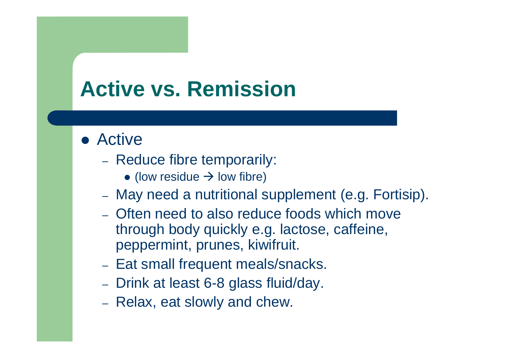## **Active vs. Remission**

#### ● Active

- Reduce fibre temporarily:
	- $\bullet$  (low residue  $\rightarrow$  low fibre)
- May need a nutritional supplement (e.g. Fortisip).
- Often need to also reduce foods which move through body quickly e.g. lactose, caffeine, peppermint, prunes, kiwifruit.
- Eat small frequent meals/snacks.
- Drink at least 6-8 glass fluid/day.
- Relax, eat slowly and chew.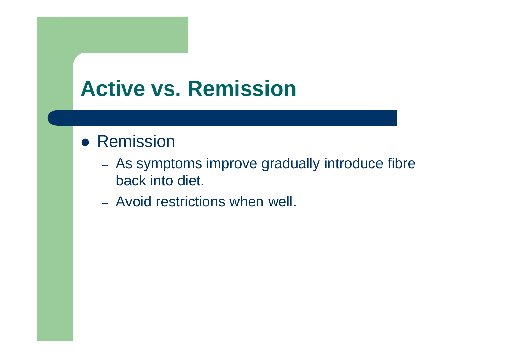#### **Active vs. Remission**

#### ● Remission

- As symptoms improve gradually introduce fibre back into diet.
- Avoid restrictions when well.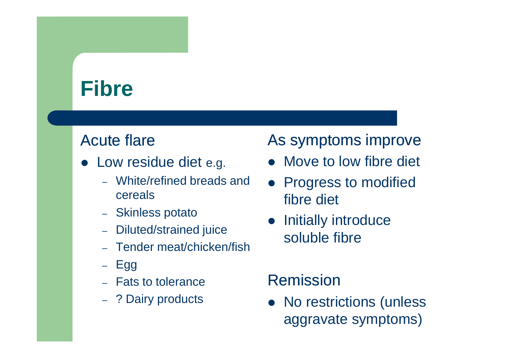#### **Fibre**

#### Acute flare

- **Low residue diet e.g.** 
	- White/refined breads and cereals
	- Skinless potato
	- Diluted/strained juice
	- Tender meat/chicken/fish
	- Egg
	- Fats to tolerance
	- ?Dairy products

#### As symptoms improve

- Move to low fibre diet
- Progress to modified fibre diet
- Initially introduce soluble fibre

#### Remission

• No restrictions (unless aggravate symptoms)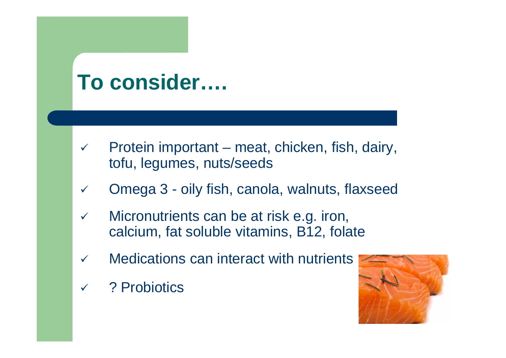#### **To consider….**

- $\checkmark$  Protein important – meat, chicken, fish, dairy, tofu, legumes, nuts/seeds
- $\checkmark$ Omega 3 - oily fish, canola, walnuts, flaxseed
- $\checkmark$  Micronutrients can be at risk e.g. iron, calcium, fat soluble vitamins, B12, folate
- $\checkmark$ Medications can interact with nutrients
- $\checkmark$ ? Probiotics

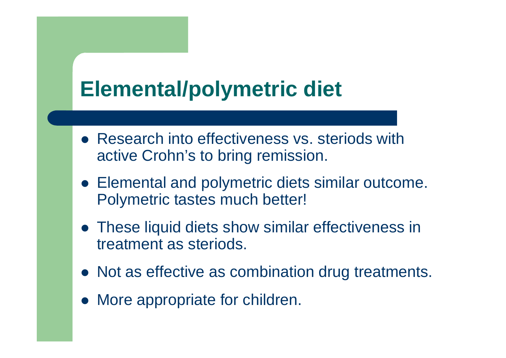#### **Elemental/polymetric diet**

- Research into effectiveness vs. steriods with active Crohn's to bring remission.
- Elemental and polymetric diets similar outcome. Polymetric tastes much better!
- These liquid diets show similar effectiveness in treatment as steriods.
- Not as effective as combination drug treatments.
- More appropriate for children.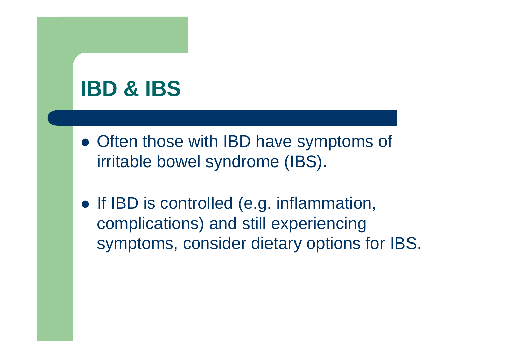#### **IBD & IBS**

- Often those with IBD have symptoms of irritable bowel syndrome (IBS).
- If IBD is controlled (e.g. inflammation, complications) and still experiencing symptoms, consider dietary options for IBS.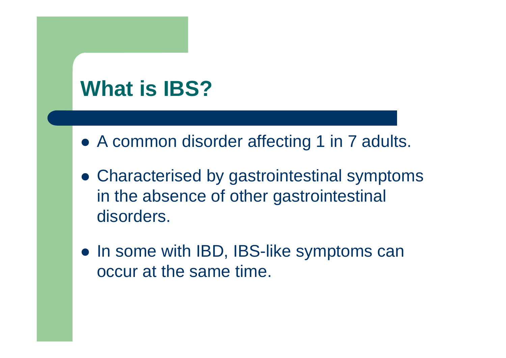# **What is IBS?**

- A common disorder affecting 1 in 7 adults.
- Characterised by gastrointestinal symptoms in the absence of other gastrointestinal disorders.
- In some with IBD, IBS-like symptoms can occur at the same time.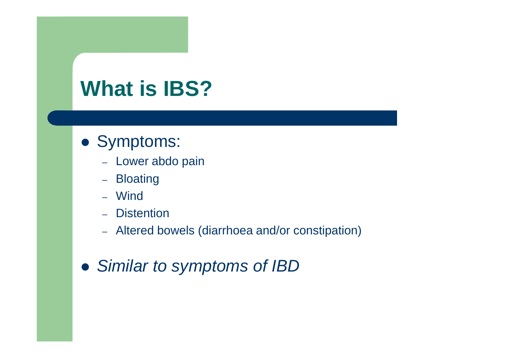## **What is IBS?**

#### Symptoms:

- Lower abdo pain
- Bloating
- Wind
- Distention
- Altered bowels (diarrhoea and/or constipation)
- **Similar to symptoms of IBD**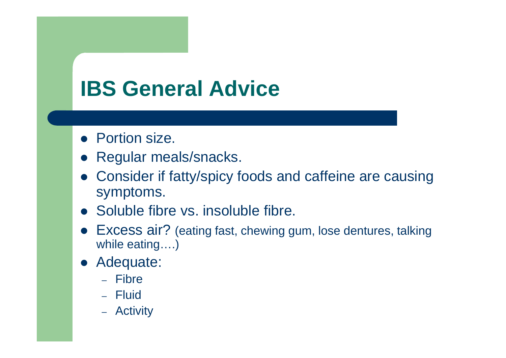# **IBS General Advice**

- Portion size.
- $\bullet$ Regular meals/snacks.
- $\bullet$  Consider if fatty/spicy foods and caffeine are causing symptoms.
- Soluble fibre vs. insoluble fibre.
- Excess air? (eating fast, chewing gum, lose dentures, talking while eating….)
- $\bullet$  Adequate:
	- Fibre
	- Fluid
	- Activity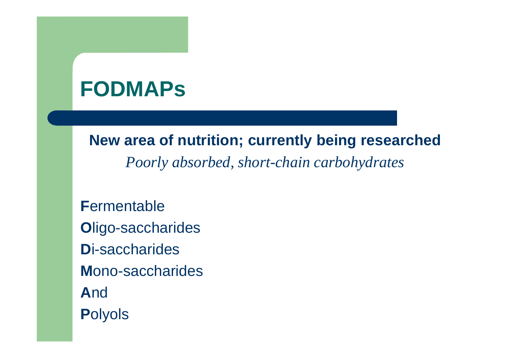#### **FODMAPs**

**New area of nutrition; currently being researched**

*Poorly absorbed, short-chain carbohydrates*

**F**ermentable **O**ligo-saccharides **D**i-saccharides **M**ono-saccharides **A**nd **P**olyols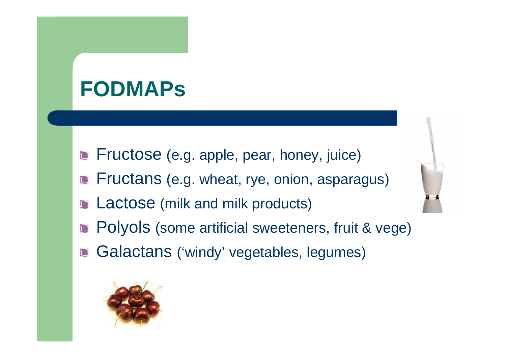#### **FODMAPs**

- **Fructose** (e.g. apple, pear, honey, juice)
- **Fructans** (e.g. wheat, rye, onion, asparagus)
- Lactose (milk and milk products) $\Box$
- Polyols (some artificial sweeteners, fruit & vege) $\Box$
- Galactans ('windy' vegetables, legumes) $\mathbf{L}$

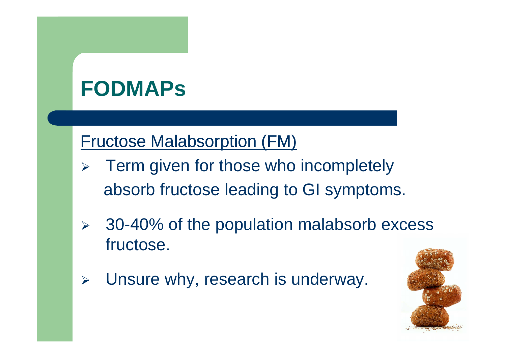#### **FODMAPs**

#### Fructose Malabsorption (FM)

- $\blacktriangleright$  Term given for those who incompletely absorb fructose leading to GI symptoms.
- $\blacktriangleright$  30-40% of the population malabsorb excess fructose.
- $\blacktriangleright$ Unsure why, research is underway.

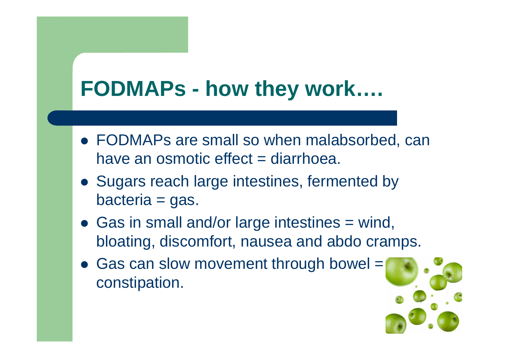#### **FODMAPs - how they work….**

- FODMAPs are small so when malabsorbed, can have an osmotic effect  $=$  diarrhoea.
- Sugars reach large intestines, fermented by bacteria = gas.
- Gas in small and/or large intestines = wind, bloating, discomfort, nausea and abdo cramps.
- Gas can slow movement through bowel = constipation.

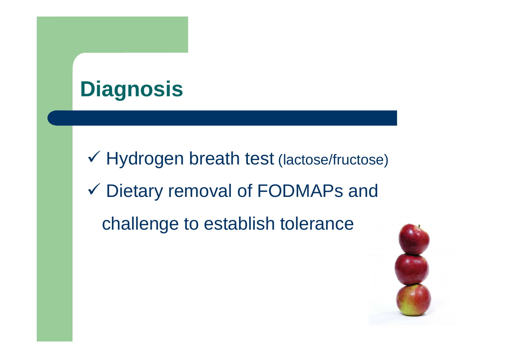# **Diagnosis**

 Hydrogen breath test (lactose/fructose) Dietary removal of FODMAPs and challenge to establish tolerance

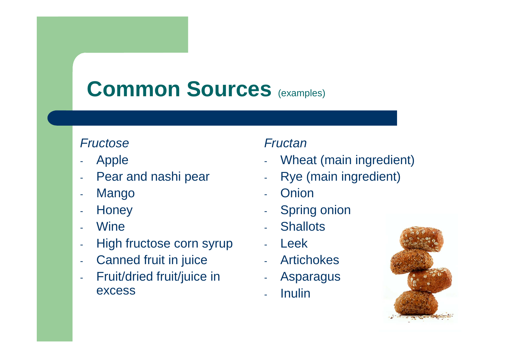# **Common Sources** (examples)

#### **Fructose**

- Apple
- Pear and nashi pear
- Mango
- Honey
- **Wine**
- High fructose corn syrup
- -Canned fruit in juice
- Fruit/dried fruit/juice in excess- Onion<br>
- Spring onion<br>
- Shallots<br>
- Shallots<br>
- Leek<br>
- Artichokes<br>
- Asparagus<br>
- Inulin<br>
- Inulin

- Fructan<br>- Wheat (main ingredient)<br>- Rye (main ingredient)
- 
- 
- 
- 
- 
- 
- 
- 

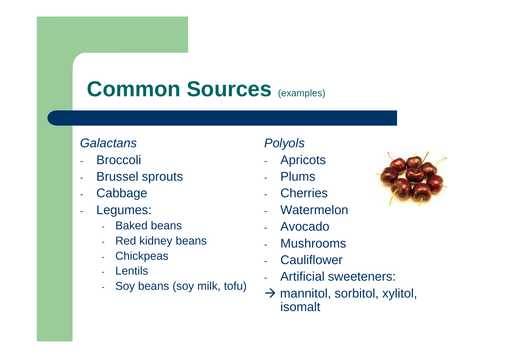#### **Common Sources** (examples)

#### **Galactans**

- Broccoli
- Brussel sprouts
- -Cabbage
- Legumes: -
	- Baked beans
	- Red kidney beans -
	- **Chickpeas**
	- Lentils
	- Soy beans (soy milk, tofu)

- Polyols<br>
 Apricots<br>
 Plums
	-
	-
	-
	-
	-
	-
	- Cherries<br>- Watermelon<br>- Avocado<br>- Mushrooms<br>- Cauliflower<br>- Artificial sweeteners:<br>- > mannitol. sorbitol. xv
		- $\rightarrow$  mannitol, sorbitol, xylitol, isomalt

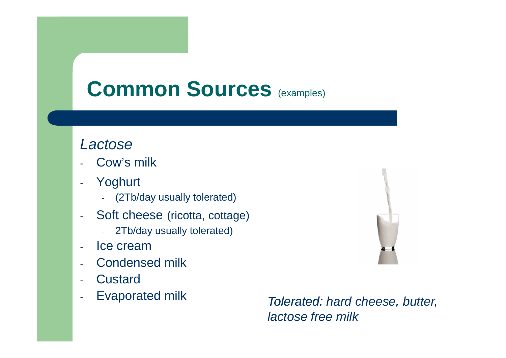#### **Common Sources** (examples)

#### Lactose

- Cow's milk
- - Yoghurt
	- (2Tb/day usually tolerated)
- -- Soft cheese (ricotta, cottage)
	- -2Tb/day usually tolerated)
- Ice cream
- Condensed milk
- -**Custard**
- Evaporated milk -

 Tolerated: hard cheese, butter, lactose free milk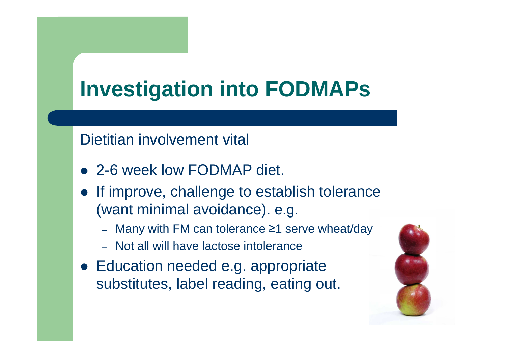# **Investigation into FODMAPs**

#### Dietitian involvement vital

- 2-6 week low FODMAP diet.
- If improve, challenge to establish tolerance (want minimal avoidance). e.g.
	- Many with FM can tolerance ≥1 serve wheat/day
	- Not all will have lactose intolerance
- **Education needed e.g. appropriate** substitutes, label reading, eating out.

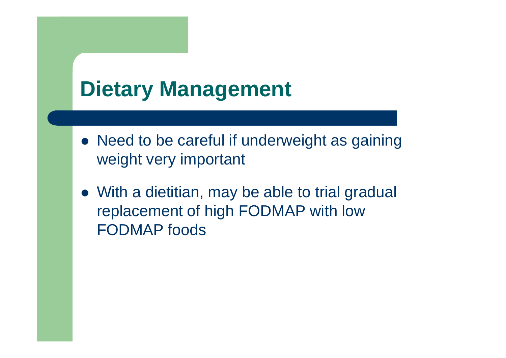# **Dietary Management**

- Need to be careful if underweight as gaining weight very important
- With a dietitian, may be able to trial gradual replacement of high FODMAP with low FODMAP foods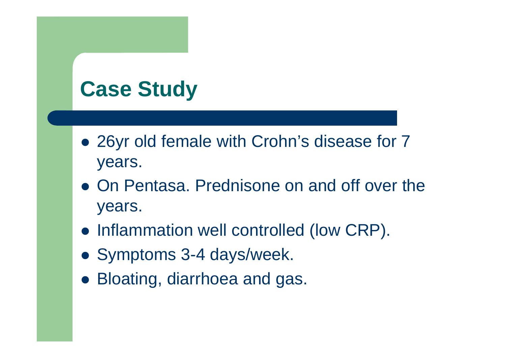- 26yr old female with Crohn's disease for 7 years.
- On Pentasa. Prednisone on and off over the years.
- **Inflammation well controlled (low CRP).**
- Symptoms 3-4 days/week.
- Bloating, diarrhoea and gas.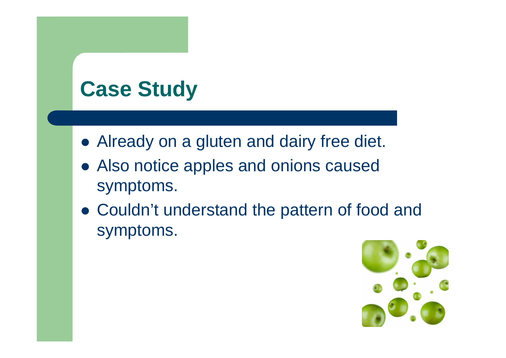- Already on a gluten and dairy free diet.
- Also notice apples and onions caused symptoms.
- Couldn't understand the pattern of food and symptoms.

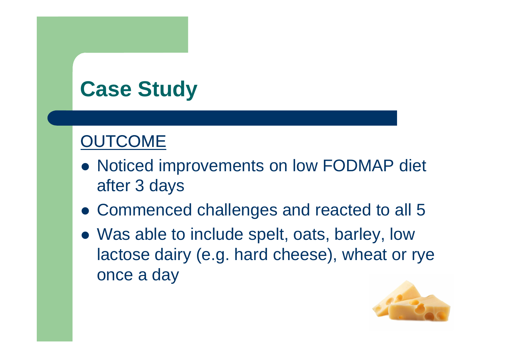#### **OUTCOME**

- Noticed improvements on low FODMAP diet after 3 days
- Commenced challenges and reacted to all 5
- Was able to include spelt, oats, barley, low lactose dairy (e.g. hard cheese), wheat or rye once a day

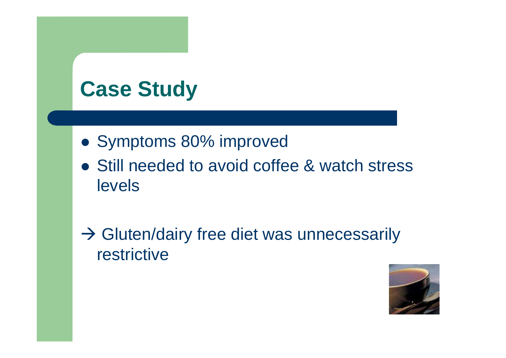- Symptoms 80% improved
- Still needed to avoid coffee & watch stress levels
- → Gluten/dairy free diet was unnecessarily<br>restrictive restrictive

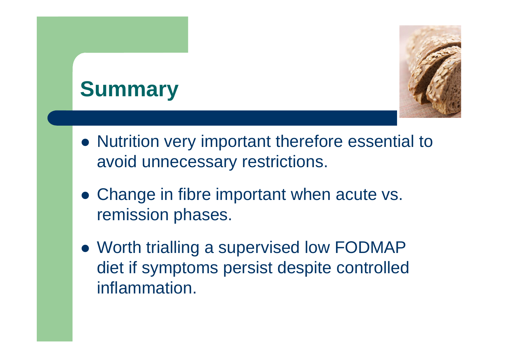# **Summary**



- Nutrition very important therefore essential to avoid unnecessary restrictions.
- Change in fibre important when acute vs. remission phases.
- Worth trialling a supervised low FODMAP diet if symptoms persist despite controlled inflammation.